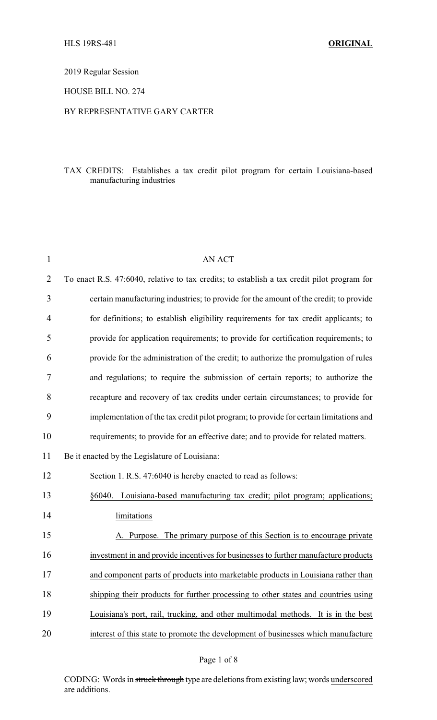2019 Regular Session

## HOUSE BILL NO. 274

## BY REPRESENTATIVE GARY CARTER

## TAX CREDITS: Establishes a tax credit pilot program for certain Louisiana-based manufacturing industries

| $\mathbf{1}$   | <b>AN ACT</b>                                                                               |
|----------------|---------------------------------------------------------------------------------------------|
| $\overline{2}$ | To enact R.S. 47:6040, relative to tax credits; to establish a tax credit pilot program for |
| 3              | certain manufacturing industries; to provide for the amount of the credit; to provide       |
| 4              | for definitions; to establish eligibility requirements for tax credit applicants; to        |
| 5              | provide for application requirements; to provide for certification requirements; to         |
| 6              | provide for the administration of the credit; to authorize the promulgation of rules        |
| 7              | and regulations; to require the submission of certain reports; to authorize the             |
| 8              | recapture and recovery of tax credits under certain circumstances; to provide for           |
| 9              | implementation of the tax credit pilot program; to provide for certain limitations and      |
| 10             | requirements; to provide for an effective date; and to provide for related matters.         |
| 11             | Be it enacted by the Legislature of Louisiana:                                              |
| 12             | Section 1. R.S. 47:6040 is hereby enacted to read as follows:                               |
| 13             | §6040. Louisiana-based manufacturing tax credit; pilot program; applications;               |
| 14             | limitations                                                                                 |
| 15             | A. Purpose. The primary purpose of this Section is to encourage private                     |
| 16             | investment in and provide incentives for businesses to further manufacture products         |
| 17             | and component parts of products into marketable products in Louisiana rather than           |
| 18             | shipping their products for further processing to other states and countries using          |
| 19             | Louisiana's port, rail, trucking, and other multimodal methods. It is in the best           |
| 20             | interest of this state to promote the development of businesses which manufacture           |

CODING: Words in struck through type are deletions from existing law; words underscored are additions.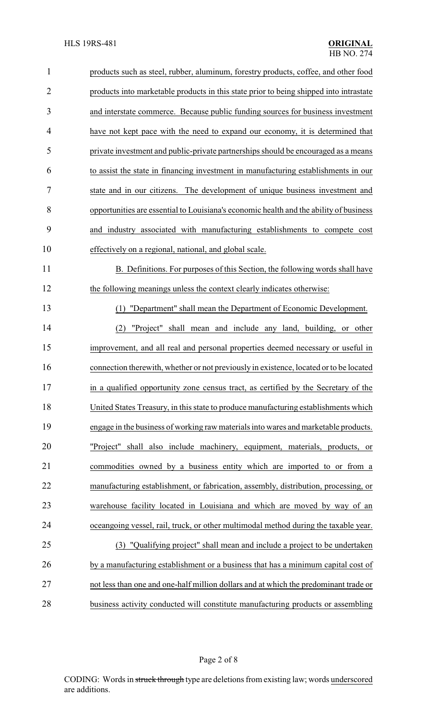| $\mathbf{1}$   | products such as steel, rubber, aluminum, forestry products, coffee, and other food    |
|----------------|----------------------------------------------------------------------------------------|
| $\overline{2}$ | products into marketable products in this state prior to being shipped into intrastate |
| 3              | and interstate commerce. Because public funding sources for business investment        |
| 4              | have not kept pace with the need to expand our economy, it is determined that          |
| 5              | private investment and public-private partnerships should be encouraged as a means     |
| 6              | to assist the state in financing investment in manufacturing establishments in our     |
| 7              | state and in our citizens. The development of unique business investment and           |
| 8              | opportunities are essential to Louisiana's economic health and the ability of business |
| 9              | and industry associated with manufacturing establishments to compete cost              |
| 10             | effectively on a regional, national, and global scale.                                 |
| 11             | B. Definitions. For purposes of this Section, the following words shall have           |
| 12             | the following meanings unless the context clearly indicates otherwise:                 |
| 13             | "Department" shall mean the Department of Economic Development.<br>(1)                 |
| 14             | "Project" shall mean and include any land, building, or other<br>(2)                   |
| 15             | improvement, and all real and personal properties deemed necessary or useful in        |
| 16             | connection therewith, whether or not previously in existence, located or to be located |
| 17             | in a qualified opportunity zone census tract, as certified by the Secretary of the     |
| 18             | United States Treasury, in this state to produce manufacturing establishments which    |
| 19             | engage in the business of working raw materials into wares and marketable products.    |
| 20             | "Project" shall also include machinery, equipment, materials, products, or             |
| 21             | commodities owned by a business entity which are imported to or from a                 |
| 22             | manufacturing establishment, or fabrication, assembly, distribution, processing, or    |
| 23             | warehouse facility located in Louisiana and which are moved by way of an               |
| 24             | oceangoing vessel, rail, truck, or other multimodal method during the taxable year.    |
| 25             | (3) "Qualifying project" shall mean and include a project to be undertaken             |
| 26             | by a manufacturing establishment or a business that has a minimum capital cost of      |
| 27             | not less than one and one-half million dollars and at which the predominant trade or   |
| 28             | business activity conducted will constitute manufacturing products or assembling       |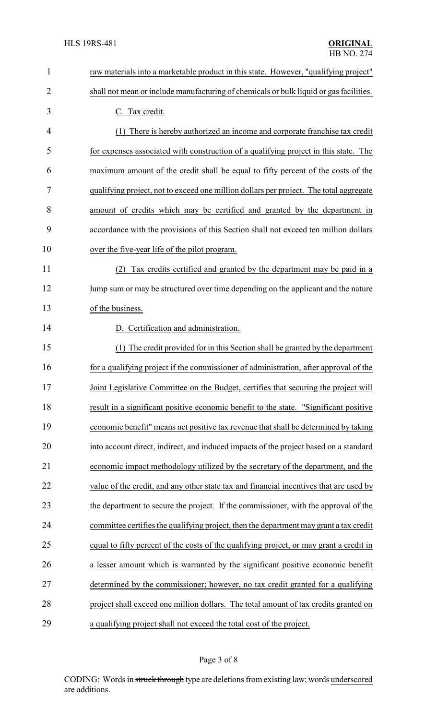| $\mathbf{1}$   | raw materials into a marketable product in this state. However, "qualifying project"    |
|----------------|-----------------------------------------------------------------------------------------|
| $\overline{2}$ | shall not mean or include manufacturing of chemicals or bulk liquid or gas facilities.  |
| 3              | C. Tax credit.                                                                          |
| 4              | There is hereby authorized an income and corporate franchise tax credit<br>(1)          |
| 5              | for expenses associated with construction of a qualifying project in this state. The    |
| 6              | maximum amount of the credit shall be equal to fifty percent of the costs of the        |
| 7              | qualifying project, not to exceed one million dollars per project. The total aggregate  |
| 8              | amount of credits which may be certified and granted by the department in               |
| 9              | accordance with the provisions of this Section shall not exceed ten million dollars     |
| 10             | over the five-year life of the pilot program.                                           |
| 11             | Tax credits certified and granted by the department may be paid in a<br>(2)             |
| 12             | lump sum or may be structured over time depending on the applicant and the nature       |
| 13             | of the business.                                                                        |
| 14             | D. Certification and administration.                                                    |
| 15             | The credit provided for in this Section shall be granted by the department<br>(1)       |
| 16             | for a qualifying project if the commissioner of administration, after approval of the   |
| 17             | Joint Legislative Committee on the Budget, certifies that securing the project will     |
| 18             | result in a significant positive economic benefit to the state. "Significant positive   |
| 19             | economic benefit" means net positive tax revenue that shall be determined by taking     |
| 20             | into account direct, indirect, and induced impacts of the project based on a standard   |
| 21             | economic impact methodology utilized by the secretary of the department, and the        |
| 22             | value of the credit, and any other state tax and financial incentives that are used by  |
| 23             | the department to secure the project. If the commissioner, with the approval of the     |
| 24             | committee certifies the qualifying project, then the department may grant a tax credit  |
| 25             | equal to fifty percent of the costs of the qualifying project, or may grant a credit in |
| 26             | a lesser amount which is warranted by the significant positive economic benefit         |
| 27             | determined by the commissioner; however, no tax credit granted for a qualifying         |
| 28             | project shall exceed one million dollars. The total amount of tax credits granted on    |
| 29             | a qualifying project shall not exceed the total cost of the project.                    |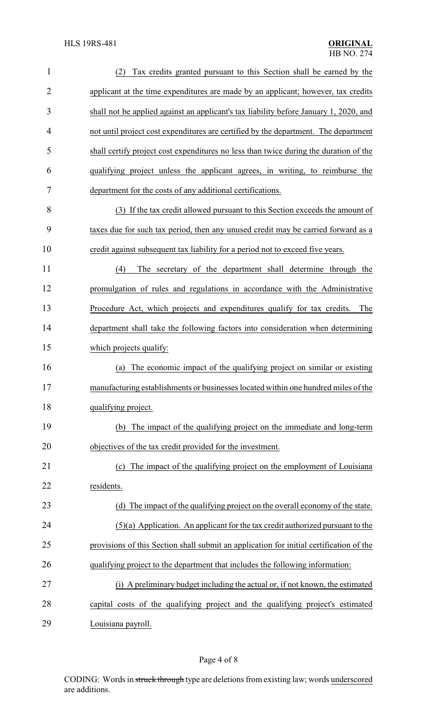| $\mathbf{1}$   | Tax credits granted pursuant to this Section shall be earned by the<br>(2)              |  |  |
|----------------|-----------------------------------------------------------------------------------------|--|--|
| $\overline{2}$ | applicant at the time expenditures are made by an applicant; however, tax credits       |  |  |
| 3              | shall not be applied against an applicant's tax liability before January 1, 2020, and   |  |  |
| $\overline{4}$ | not until project cost expenditures are certified by the department. The department     |  |  |
| 5              | shall certify project cost expenditures no less than twice during the duration of the   |  |  |
| 6              | qualifying project unless the applicant agrees, in writing, to reimburse the            |  |  |
| 7              | department for the costs of any additional certifications.                              |  |  |
| 8              | (3) If the tax credit allowed pursuant to this Section exceeds the amount of            |  |  |
| 9              | taxes due for such tax period, then any unused credit may be carried forward as a       |  |  |
| 10             | credit against subsequent tax liability for a period not to exceed five years.          |  |  |
| 11             | The secretary of the department shall determine through the<br>(4)                      |  |  |
| 12             | promulgation of rules and regulations in accordance with the Administrative             |  |  |
| 13             | Procedure Act, which projects and expenditures qualify for tax credits.<br>The          |  |  |
| 14             | department shall take the following factors into consideration when determining         |  |  |
| 15             | which projects qualify:                                                                 |  |  |
| 16             | The economic impact of the qualifying project on similar or existing<br>(a)             |  |  |
| 17             | manufacturing establishments or businesses located within one hundred miles of the      |  |  |
| 18             | qualifying project.                                                                     |  |  |
| 19             | The impact of the qualifying project on the immediate and long-term<br>(b)              |  |  |
| 20             | objectives of the tax credit provided for the investment.                               |  |  |
| 21             | The impact of the qualifying project on the employment of Louisiana<br>(c)              |  |  |
| 22             | residents.                                                                              |  |  |
| 23             | (d) The impact of the qualifying project on the overall economy of the state.           |  |  |
| 24             | $(5)(a)$ Application. An applicant for the tax credit authorized pursuant to the        |  |  |
| 25             | provisions of this Section shall submit an application for initial certification of the |  |  |
| 26             | qualifying project to the department that includes the following information:           |  |  |
| 27             | (i) A preliminary budget including the actual or, if not known, the estimated           |  |  |
| 28             | capital costs of the qualifying project and the qualifying project's estimated          |  |  |
| 29             | Louisiana payroll.                                                                      |  |  |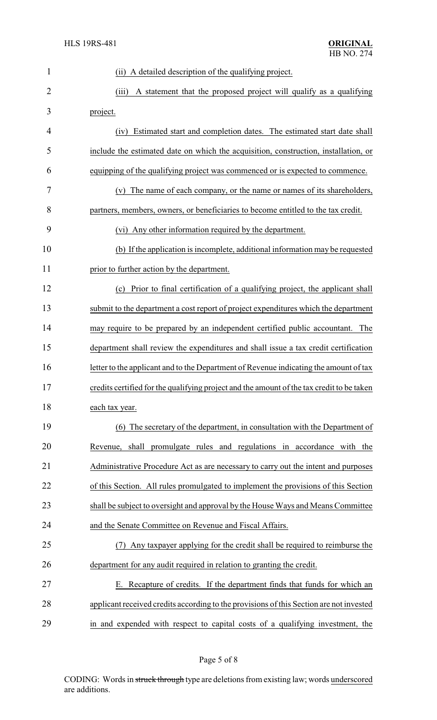| $\mathbf{1}$   | (ii) A detailed description of the qualifying project.                                    |  |  |
|----------------|-------------------------------------------------------------------------------------------|--|--|
| $\overline{2}$ | (iii)<br>A statement that the proposed project will qualify as a qualifying               |  |  |
| 3              | project.                                                                                  |  |  |
| 4              | Estimated start and completion dates. The estimated start date shall<br>(iv)              |  |  |
| 5              | include the estimated date on which the acquisition, construction, installation, or       |  |  |
| 6              | equipping of the qualifying project was commenced or is expected to commence.             |  |  |
| 7              | The name of each company, or the name or names of its shareholders,<br>(v)                |  |  |
| 8              | partners, members, owners, or beneficiaries to become entitled to the tax credit.         |  |  |
| 9              | (vi) Any other information required by the department.                                    |  |  |
| 10             | (b) If the application is incomplete, additional information may be requested             |  |  |
| 11             | prior to further action by the department.                                                |  |  |
| 12             | Prior to final certification of a qualifying project, the applicant shall<br>(c)          |  |  |
| 13             | submit to the department a cost report of project expenditures which the department       |  |  |
| 14             | may require to be prepared by an independent certified public accountant. The             |  |  |
| 15             | department shall review the expenditures and shall issue a tax credit certification       |  |  |
| 16             | letter to the applicant and to the Department of Revenue indicating the amount of tax     |  |  |
| 17             | credits certified for the qualifying project and the amount of the tax credit to be taken |  |  |
| 18             | each tax year.                                                                            |  |  |
| 19             | (6) The secretary of the department, in consultation with the Department of               |  |  |
| 20             | shall promulgate rules and regulations in accordance with the<br>Revenue,                 |  |  |
| 21             | Administrative Procedure Act as are necessary to carry out the intent and purposes        |  |  |
| 22             | of this Section. All rules promulgated to implement the provisions of this Section        |  |  |
| 23             | shall be subject to oversight and approval by the House Ways and Means Committee          |  |  |
| 24             | and the Senate Committee on Revenue and Fiscal Affairs.                                   |  |  |
| 25             | Any taxpayer applying for the credit shall be required to reimburse the<br>(7)            |  |  |
| 26             | department for any audit required in relation to granting the credit.                     |  |  |
| 27             | E. Recapture of credits. If the department finds that funds for which an                  |  |  |
| 28             | applicant received credits according to the provisions of this Section are not invested   |  |  |
| 29             | in and expended with respect to capital costs of a qualifying investment, the             |  |  |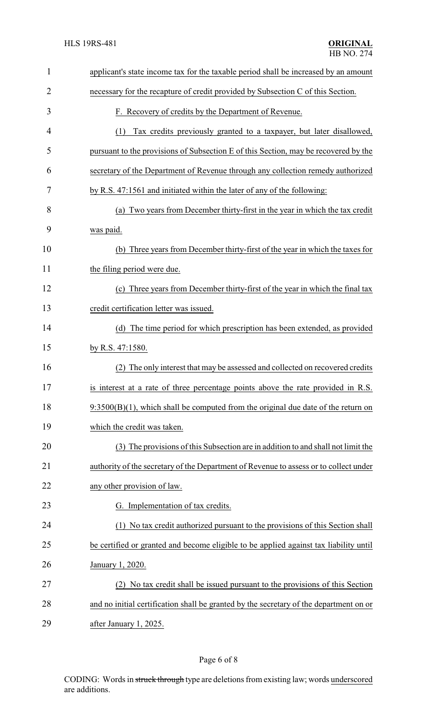| $\mathbf{1}$   | applicant's state income tax for the taxable period shall be increased by an amount    |  |
|----------------|----------------------------------------------------------------------------------------|--|
| $\overline{2}$ | necessary for the recapture of credit provided by Subsection C of this Section.        |  |
| 3              | F. Recovery of credits by the Department of Revenue.                                   |  |
| $\overline{4}$ | Tax credits previously granted to a taxpayer, but later disallowed,<br>(1)             |  |
| 5              | pursuant to the provisions of Subsection E of this Section, may be recovered by the    |  |
| 6              | secretary of the Department of Revenue through any collection remedy authorized        |  |
| 7              | by R.S. 47:1561 and initiated within the later of any of the following:                |  |
| 8              | (a) Two years from December thirty-first in the year in which the tax credit           |  |
| 9              | was paid.                                                                              |  |
| 10             | (b) Three years from December thirty-first of the year in which the taxes for          |  |
| 11             | the filing period were due.                                                            |  |
| 12             | (c) Three years from December thirty-first of the year in which the final tax          |  |
| 13             | credit certification letter was issued.                                                |  |
| 14             | (d) The time period for which prescription has been extended, as provided              |  |
| 15             | by R.S. 47:1580.                                                                       |  |
| 16             | The only interest that may be assessed and collected on recovered credits<br>(2)       |  |
| 17             | is interest at a rate of three percentage points above the rate provided in R.S.       |  |
| 18             | $9:3500(B)(1)$ , which shall be computed from the original due date of the return on   |  |
| 19             | which the credit was taken.                                                            |  |
| 20             | (3) The provisions of this Subsection are in addition to and shall not limit the       |  |
| 21             | authority of the secretary of the Department of Revenue to assess or to collect under  |  |
| 22             | any other provision of law.                                                            |  |
| 23             | G. Implementation of tax credits.                                                      |  |
| 24             | No tax credit authorized pursuant to the provisions of this Section shall              |  |
| 25             | be certified or granted and become eligible to be applied against tax liability until  |  |
| 26             | January 1, 2020.                                                                       |  |
| 27             | No tax credit shall be issued pursuant to the provisions of this Section               |  |
| 28             | and no initial certification shall be granted by the secretary of the department on or |  |
| 29             | after January 1, 2025.                                                                 |  |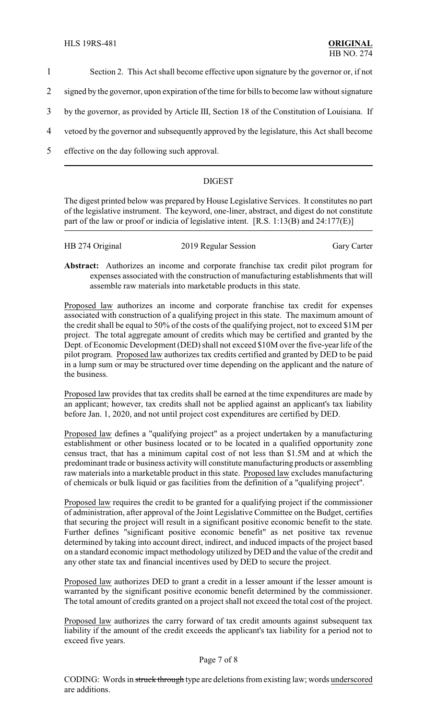- 1 Section 2. This Act shall become effective upon signature by the governor or, if not
- 2 signed by the governor, upon expiration of the time for bills to become law without signature
- 3 by the governor, as provided by Article III, Section 18 of the Constitution of Louisiana. If
- 4 vetoed by the governor and subsequently approved by the legislature, this Act shall become
- 5 effective on the day following such approval.

## DIGEST

The digest printed below was prepared by House Legislative Services. It constitutes no part of the legislative instrument. The keyword, one-liner, abstract, and digest do not constitute part of the law or proof or indicia of legislative intent. [R.S. 1:13(B) and 24:177(E)]

| HB 274 Original | 2019 Regular Session | <b>Gary Carter</b> |
|-----------------|----------------------|--------------------|
|                 |                      |                    |

**Abstract:** Authorizes an income and corporate franchise tax credit pilot program for expenses associated with the construction of manufacturing establishments that will assemble raw materials into marketable products in this state.

Proposed law authorizes an income and corporate franchise tax credit for expenses associated with construction of a qualifying project in this state. The maximum amount of the credit shall be equal to 50% of the costs of the qualifying project, not to exceed \$1M per project. The total aggregate amount of credits which may be certified and granted by the Dept. of Economic Development (DED) shall not exceed \$10M over the five-year life of the pilot program. Proposed law authorizes tax credits certified and granted by DED to be paid in a lump sum or may be structured over time depending on the applicant and the nature of the business.

Proposed law provides that tax credits shall be earned at the time expenditures are made by an applicant; however, tax credits shall not be applied against an applicant's tax liability before Jan. 1, 2020, and not until project cost expenditures are certified by DED.

Proposed law defines a "qualifying project" as a project undertaken by a manufacturing establishment or other business located or to be located in a qualified opportunity zone census tract, that has a minimum capital cost of not less than \$1.5M and at which the predominant trade or business activity will constitute manufacturing products or assembling raw materials into a marketable product in this state. Proposed law excludes manufacturing of chemicals or bulk liquid or gas facilities from the definition of a "qualifying project".

Proposed law requires the credit to be granted for a qualifying project if the commissioner of administration, after approval of the Joint Legislative Committee on the Budget, certifies that securing the project will result in a significant positive economic benefit to the state. Further defines "significant positive economic benefit" as net positive tax revenue determined by taking into account direct, indirect, and induced impacts of the project based on a standard economic impact methodology utilized by DED and the value of the credit and any other state tax and financial incentives used by DED to secure the project.

Proposed law authorizes DED to grant a credit in a lesser amount if the lesser amount is warranted by the significant positive economic benefit determined by the commissioner. The total amount of credits granted on a project shall not exceed the total cost of the project.

Proposed law authorizes the carry forward of tax credit amounts against subsequent tax liability if the amount of the credit exceeds the applicant's tax liability for a period not to exceed five years.